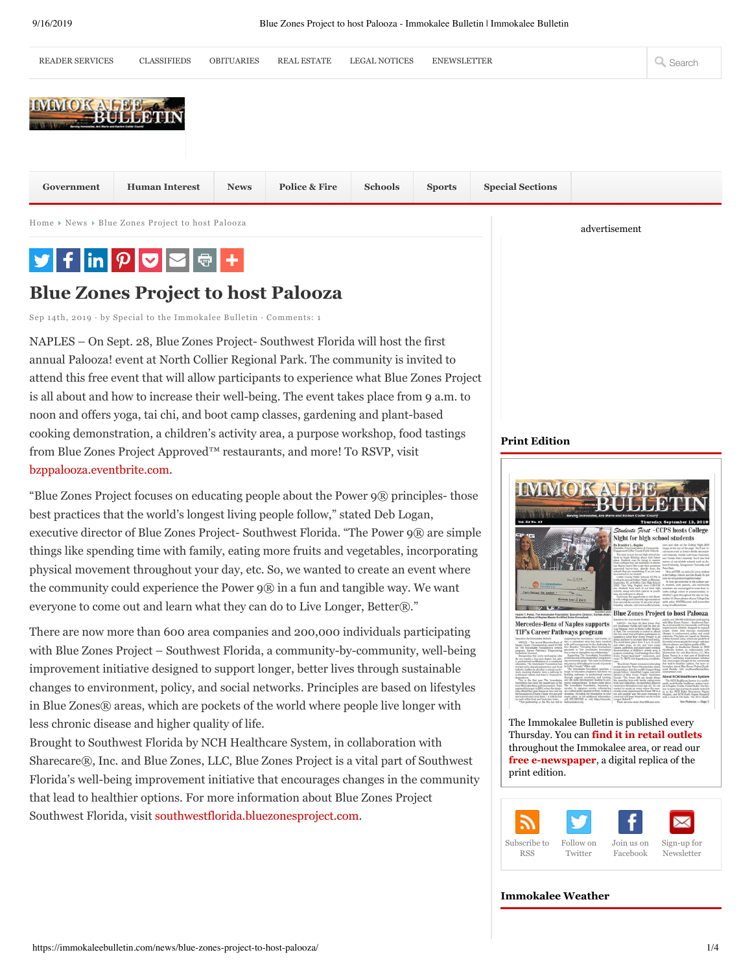

Home  $\triangleright$  News  $\triangleright$  Blue Zones Project to host Palooza

# $\begin{array}{|c|c|c|c|c|}\hline \textbf{y} & \textbf{f} & \text{in} & \rho & \textbf{v} & \textbf{w} \\\hline \end{array}$

# **Blue Zones Project to host Palooza**

Sep 14th, 2019 · by Special to the Immokalee Bulletin · Comments: 1

NAPLES – On Sept. 28, Blue Zones Project- Southwest Florida will host the first annual Palooza! event at North Collier Regional Park. The community is invited to attend this free event that will allow participants to experience what Blue Zones Project is all about and how to increase their well-being. The event takes place from 9 a.m. to noon and offers yoga, tai chi, and boot camp classes, gardening and plant-based cooking demonstration, a children's activity area, a purpose workshop, food tastings from Blue Zones Project Approved™ restaurants, and more! To RSVP, visit bzppalooza.eventbrite.com.

"Blue Zones Project focuses on educating people about the Power 9® principles- those best practices that the world's longest living people follow," stated Deb Logan, executive director of Blue Zones Project- Southwest Florida. "The Power 9® are simple things like spending time with family, eating more fruits and vegetables, incorporating physical movement throughout your day, etc. So, we wanted to create an event where the community could experience the Power 9® in a fun and tangible way. We want everyone to come out and learn what they can do to Live Longer, Better®."

There are now more than 600 area companies and 200,000 individuals participating with Blue Zones Project – Southwest Florida, a community-by-community, well-being improvement initiative designed to support longer, better lives through sustainable changes to environment, policy, and social networks. Principles are based on lifestyles in Blue Zones® areas, which are pockets of the world where people live longer with less chronic disease and higher quality of life.

Brought to Southwest Florida by NCH Healthcare System, in collaboration with Sharecare®, Inc. and Blue Zones, LLC, Blue Zones Project is a vital part of Southwest Florida's well-being improvement initiative that encourages changes in the community that lead to healthier options. For more information about Blue Zones Project Southwest Florida, visit southwestflorida.bluezonesproject.com.

#### **Print Edition**



advertisement

The Immokalee Bulletin is published every Thursday. You can **find it in retail outlets** throughout the Immokalee area, or read our **free e-newspaper**, a digital replica of the print edition.



#### **Immokalee Weather**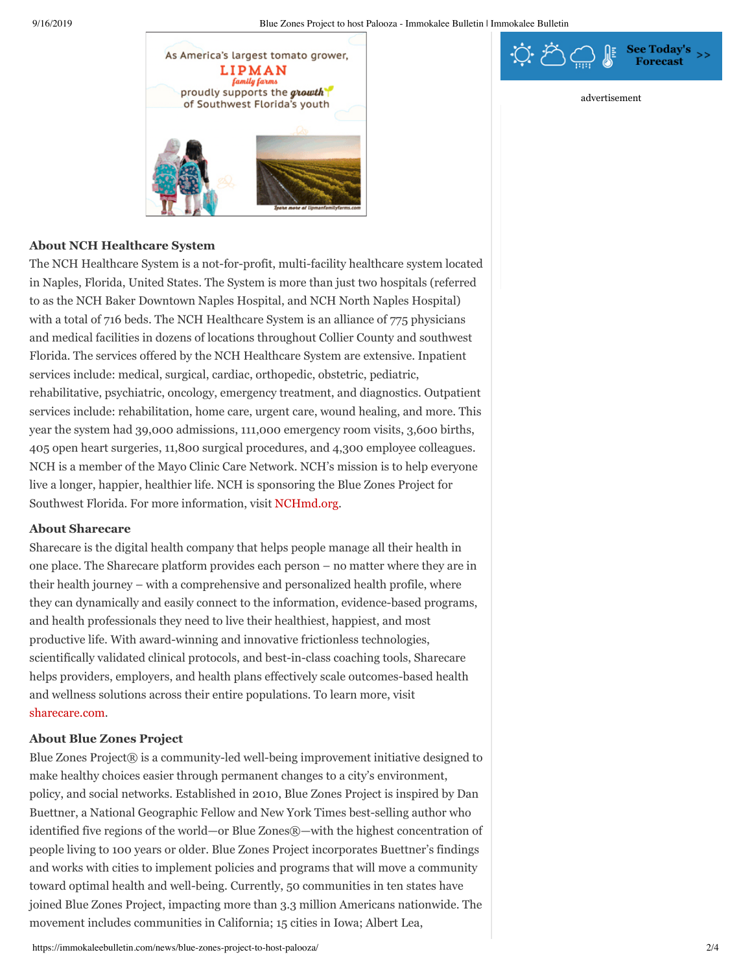

# **About NCH Healthcare System**

The NCH Healthcare System is a not-for-profit, multi-facility healthcare system located in Naples, Florida, United States. The System is more than just two hospitals (referred to as the NCH Baker Downtown Naples Hospital, and NCH North Naples Hospital) with a total of 716 beds. The NCH Healthcare System is an alliance of 775 physicians and medical facilities in dozens of locations throughout Collier County and southwest Florida. The services offered by the NCH Healthcare System are extensive. Inpatient services include: medical, surgical, cardiac, orthopedic, obstetric, pediatric, rehabilitative, psychiatric, oncology, emergency treatment, and diagnostics. Outpatient services include: rehabilitation, home care, urgent care, wound healing, and more. This year the system had 39,000 admissions, 111,000 emergency room visits, 3,600 births, 405 open heart surgeries, 11,800 surgical procedures, and 4,300 employee colleagues. NCH is a member of the Mayo Clinic Care Network. NCH's mission is to help everyone live a longer, happier, healthier life. NCH is sponsoring the Blue Zones Project for Southwest Florida. For more information, visit NCHmd.org.

## **About Sharecare**

Sharecare is the digital health company that helps people manage all their health in one place. The Sharecare platform provides each person – no matter where they are in their health journey – with a comprehensive and personalized health profile, where they can dynamically and easily connect to the information, evidence-based programs, and health professionals they need to live their healthiest, happiest, and most productive life. With award-winning and innovative frictionless technologies, scientifically validated clinical protocols, and best-in-class coaching tools, Sharecare helps providers, employers, and health plans effectively scale outcomes-based health and wellness solutions across their entire populations. To learn more, visit sharecare.com.

## **About Blue Zones Project**

Blue Zones Project® is a community-led well-being improvement initiative designed to make healthy choices easier through permanent changes to a city's environment, policy, and social networks. Established in 2010, Blue Zones Project is inspired by Dan Buettner, a National Geographic Fellow and New York Times best-selling author who identified five regions of the world—or Blue Zones®—with the highest concentration of people living to 100 years or older. Blue Zones Project incorporates Buettner's findings and works with cities to implement policies and programs that will move a community toward optimal health and well-being. Currently, 50 communities in ten states have joined Blue Zones Project, impacting more than 3.3 million Americans nationwide. The movement includes communities in California; 15 cities in Iowa; Albert Lea,



advertisement